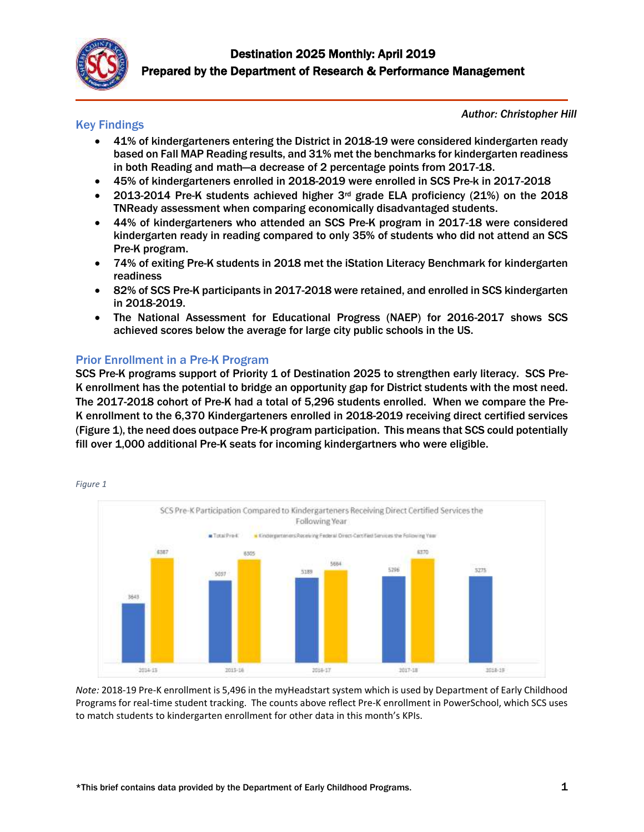

# Key Findings

*Author: Christopher Hill*

- 41% of kindergarteners entering the District in 2018-19 were considered kindergarten ready based on Fall MAP Reading results, and 31% met the benchmarks for kindergarten readiness in both Reading and math—a decrease of 2 percentage points from 2017-18.
- 45% of kindergarteners enrolled in 2018-2019 were enrolled in SCS Pre-k in 2017-2018
- 2013-2014 Pre-K students achieved higher  $3<sup>rd</sup>$  grade ELA proficiency (21%) on the 2018 TNReady assessment when comparing economically disadvantaged students.
- 44% of kindergarteners who attended an SCS Pre-K program in 2017-18 were considered kindergarten ready in reading compared to only 35% of students who did not attend an SCS Pre-K program.
- 74% of exiting Pre-K students in 2018 met the iStation Literacy Benchmark for kindergarten readiness
- 82% of SCS Pre-K participants in 2017-2018 were retained, and enrolled in SCS kindergarten in 2018-2019.
- The National Assessment for Educational Progress (NAEP) for 2016-2017 shows SCS achieved scores below the average for large city public schools in the US.

# Prior Enrollment in a Pre-K Program

SCS Pre-K programs support of Priority 1 of Destination 2025 to strengthen early literacy. SCS Pre-K enrollment has the potential to bridge an opportunity gap for District students with the most need. The 2017-2018 cohort of Pre-K had a total of 5,296 students enrolled. When we compare the Pre-K enrollment to the 6,370 Kindergarteners enrolled in 2018-2019 receiving direct certified services (Figure 1), the need does outpace Pre-K program participation. This means that SCS could potentially fill over 1,000 additional Pre-K seats for incoming kindergartners who were eligible.



*Figure 1*

*Note:* 2018-19 Pre-K enrollment is 5,496 in the myHeadstart system which is used by Department of Early Childhood Programs for real-time student tracking. The counts above reflect Pre-K enrollment in PowerSchool, which SCS uses to match students to kindergarten enrollment for other data in this month's KPIs.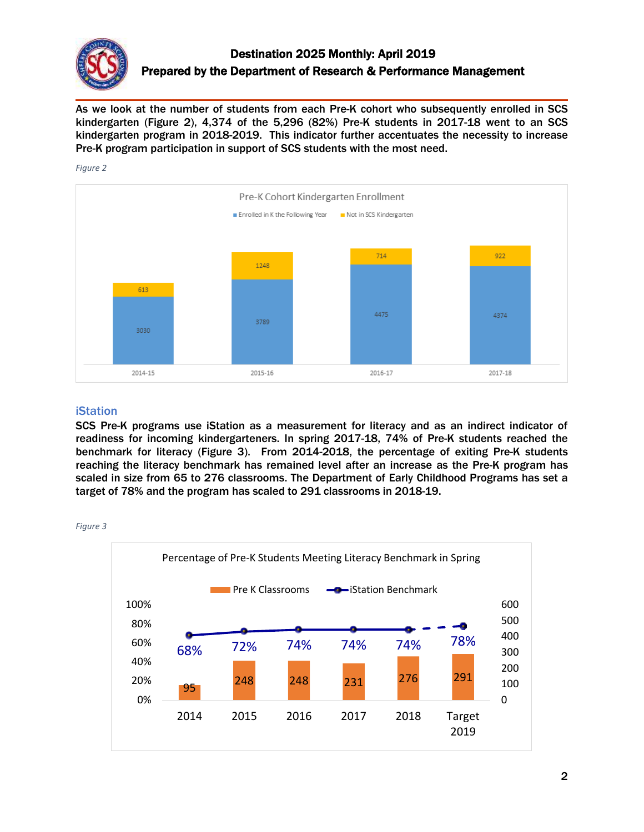

As we look at the number of students from each Pre-K cohort who subsequently enrolled in SCS kindergarten (Figure 2), 4,374 of the 5,296 (82%) Pre-K students in 2017-18 went to an SCS kindergarten program in 2018-2019. This indicator further accentuates the necessity to increase Pre-K program participation in support of SCS students with the most need.

## *Figure 2*



# iStation

SCS Pre-K programs use iStation as a measurement for literacy and as an indirect indicator of readiness for incoming kindergarteners. In spring 2017-18, 74% of Pre-K students reached the benchmark for literacy (Figure 3). From 2014-2018, the percentage of exiting Pre-K students reaching the literacy benchmark has remained level after an increase as the Pre-K program has scaled in size from 65 to 276 classrooms. The Department of Early Childhood Programs has set a target of 78% and the program has scaled to 291 classrooms in 2018-19.



*Figure 3*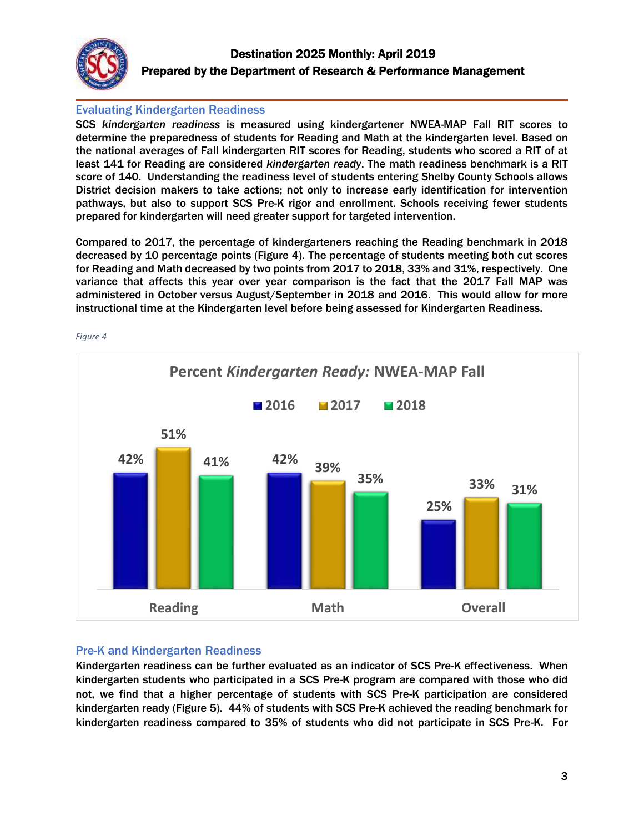

# Evaluating Kindergarten Readiness

SCS *kindergarten readiness* is measured using kindergartener NWEA-MAP Fall RIT scores to determine the preparedness of students for Reading and Math at the kindergarten level. Based on the national averages of Fall kindergarten RIT scores for Reading, students who scored a RIT of at least 141 for Reading are considered *kindergarten ready*. The math readiness benchmark is a RIT score of 140. Understanding the readiness level of students entering Shelby County Schools allows District decision makers to take actions; not only to increase early identification for intervention pathways, but also to support SCS Pre-K rigor and enrollment. Schools receiving fewer students prepared for kindergarten will need greater support for targeted intervention.

Compared to 2017, the percentage of kindergarteners reaching the Reading benchmark in 2018 decreased by 10 percentage points (Figure 4). The percentage of students meeting both cut scores for Reading and Math decreased by two points from 2017 to 2018, 33% and 31%, respectively. One variance that affects this year over year comparison is the fact that the 2017 Fall MAP was administered in October versus August/September in 2018 and 2016. This would allow for more instructional time at the Kindergarten level before being assessed for Kindergarten Readiness.



*Figure 4*

# Pre-K and Kindergarten Readiness

Kindergarten readiness can be further evaluated as an indicator of SCS Pre-K effectiveness. When kindergarten students who participated in a SCS Pre-K program are compared with those who did not, we find that a higher percentage of students with SCS Pre-K participation are considered kindergarten ready (Figure 5). 44% of students with SCS Pre-K achieved the reading benchmark for kindergarten readiness compared to 35% of students who did not participate in SCS Pre-K. For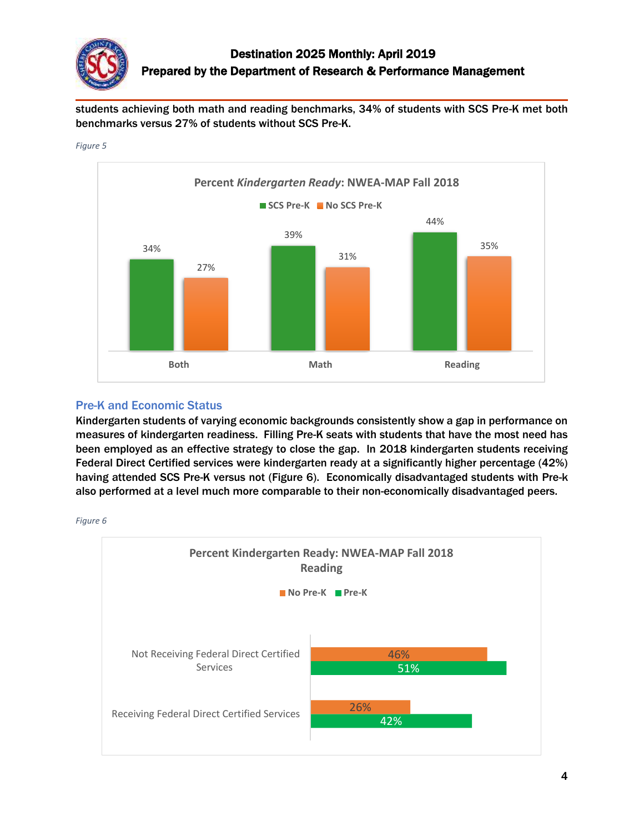

students achieving both math and reading benchmarks, 34% of students with SCS Pre-K met both benchmarks versus 27% of students without SCS Pre-K.



*Figure 5*

# Pre-K and Economic Status

Kindergarten students of varying economic backgrounds consistently show a gap in performance on measures of kindergarten readiness. Filling Pre-K seats with students that have the most need has been employed as an effective strategy to close the gap. In 2018 kindergarten students receiving Federal Direct Certified services were kindergarten ready at a significantly higher percentage (42%) having attended SCS Pre-K versus not (Figure 6). Economically disadvantaged students with Pre-k also performed at a level much more comparable to their non-economically disadvantaged peers.



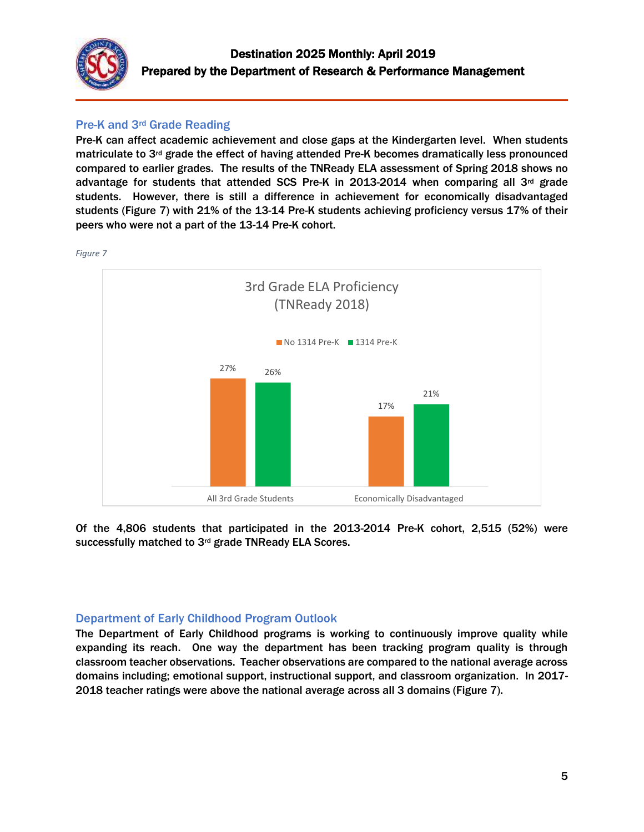

# Pre-K and 3rd Grade Reading

Pre-K can affect academic achievement and close gaps at the Kindergarten level. When students matriculate to  $3<sup>rd</sup>$  grade the effect of having attended Pre-K becomes dramatically less pronounced compared to earlier grades. The results of the TNReady ELA assessment of Spring 2018 shows no advantage for students that attended SCS Pre-K in 2013-2014 when comparing all 3<sup>rd</sup> grade students. However, there is still a difference in achievement for economically disadvantaged students (Figure 7) with 21% of the 13-14 Pre-K students achieving proficiency versus 17% of their peers who were not a part of the 13-14 Pre-K cohort.



Of the 4,806 students that participated in the 2013-2014 Pre-K cohort, 2,515 (52%) were successfully matched to 3rd grade TNReady ELA Scores.

# Department of Early Childhood Program Outlook

The Department of Early Childhood programs is working to continuously improve quality while expanding its reach. One way the department has been tracking program quality is through classroom teacher observations. Teacher observations are compared to the national average across domains including; emotional support, instructional support, and classroom organization. In 2017- 2018 teacher ratings were above the national average across all 3 domains (Figure 7).

*Figure 7*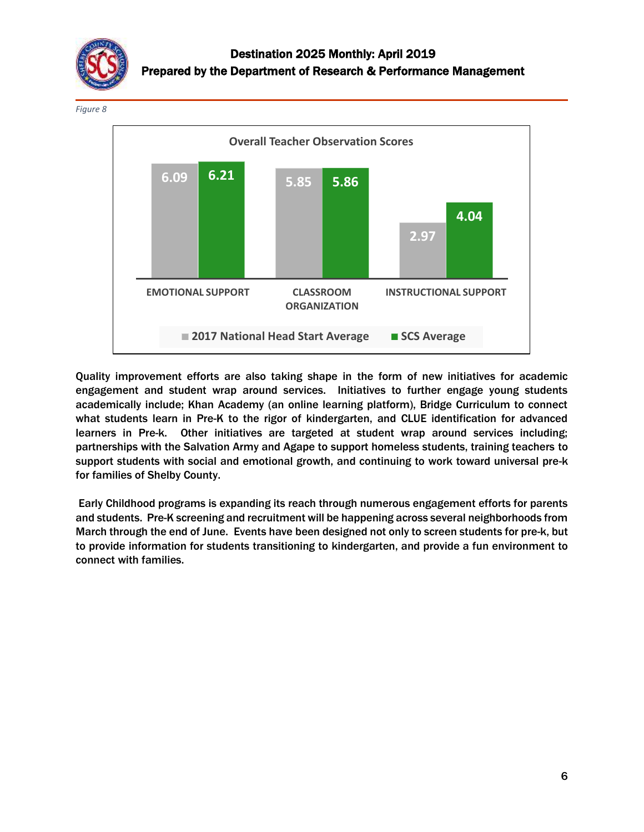

*Figure 8*



Quality improvement efforts are also taking shape in the form of new initiatives for academic engagement and student wrap around services. Initiatives to further engage young students academically include; Khan Academy (an online learning platform), Bridge Curriculum to connect what students learn in Pre-K to the rigor of kindergarten, and CLUE identification for advanced learners in Pre-k. Other initiatives are targeted at student wrap around services including; partnerships with the Salvation Army and Agape to support homeless students, training teachers to support students with social and emotional growth, and continuing to work toward universal pre-k for families of Shelby County.

Early Childhood programs is expanding its reach through numerous engagement efforts for parents and students. Pre-K screening and recruitment will be happening across several neighborhoods from March through the end of June. Events have been designed not only to screen students for pre-k, but to provide information for students transitioning to kindergarten, and provide a fun environment to connect with families.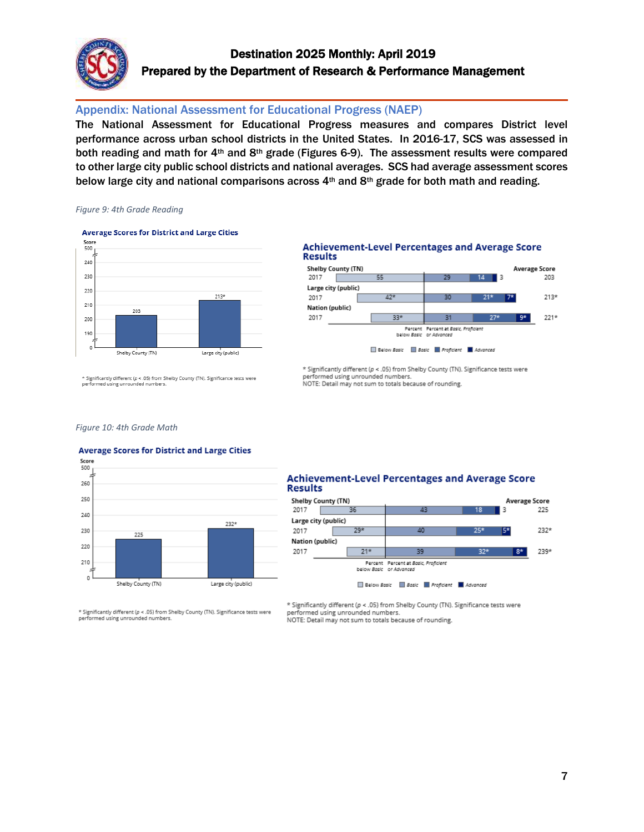

# Destination 2025 Monthly: April 2019 Prepared by the Department of Research & Performance Management

# Appendix: National Assessment for Educational Progress (NAEP)

The National Assessment for Educational Progress measures and compares District level performance across urban school districts in the United States. In 2016-17, SCS was assessed in both reading and math for  $4<sup>th</sup>$  and  $8<sup>th</sup>$  grade (Figures 6-9). The assessment results were compared to other large city public school districts and national averages. SCS had average assessment scores below large city and national comparisons across  $4<sup>th</sup>$  and  $8<sup>th</sup>$  grade for both math and reading.

## *Figure 9: 4th Grade Reading*

#### **Average Scores for District and Large Cities**



#### **Achievement-Level Percentages and Average Score Results**



\* Significantly different (p < .05) from Shelby County (TN). Significance tests were performed using unrounded numbers. NOTE: Detail may not sum to totals because of rounding.

Significantly different (p < .05) from Shelby County (TN). Significance tests were performed using unrounded numbers.

## *Figure 10: 4th Grade Math*

## **Average Scores for District and Large Cities**



 $^\mathrm{g}$  Significantly different ( $\rho$  < .05) from Shelby County (TN). Significance tests were performed using unrounded numbers.

### **Achievement-Level Percentages and Average Score Results**



\* Significantly different (p < . 05) from Shelby County (TN). Significance tests were performed using unrounded numbers.

NOTE: Detail may not sum to totals because of rounding.